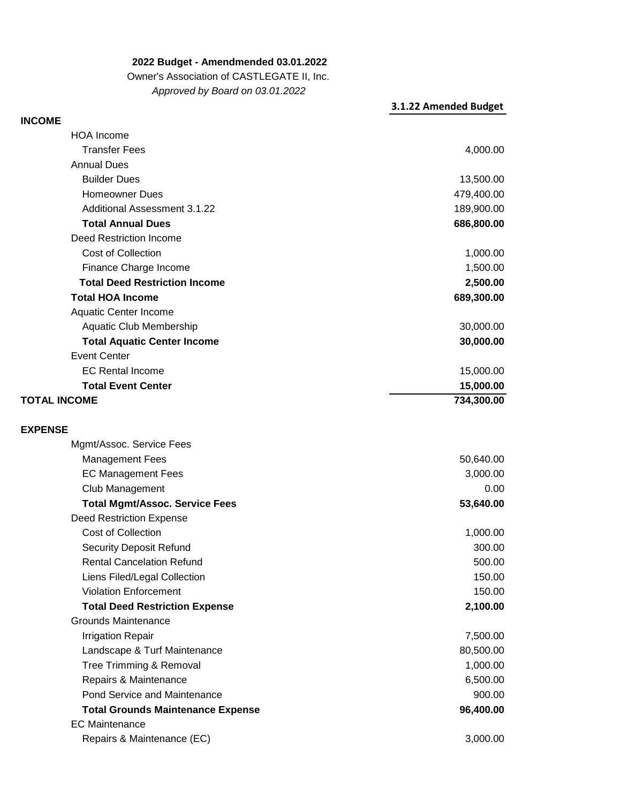**2022 Budget - Amendmended 03.01.2022**

Owner's Association of CASTLEGATE II, Inc.

## **3.1.22 Amended Budget**  4,000.00 13,500.00 479,400.00 189,900.00 **686,800.00** 1,000.00 Finance Charge Income 1,500.00 **2,500.00 689,300.00** 30,000.00 **30,000.00** 15,000.00 **15,000.00 734,300.00 EXPENSE TOTAL INCOME Total Event Center**  EC Rental Income Event Center  **Total Aquatic Center Income** Aquatic Club Membership Aquatic Center Income **Total HOA Income Total Deed Restriction Income** Cost of Collection Deed Restriction Income  **Total Annual Dues** Homeowner Dues Builder Dues Annual Dues Transfer Fees **INCOME** HOA Income *Approved by Board on 03.01.2022* Additional Assessment 3.1.22

| 50,640.00 |
|-----------|
| 3,000.00  |
| 0.00      |
| 53,640.00 |
|           |
| 1,000.00  |
| 300.00    |
| 500.00    |
| 150.00    |
| 150.00    |
| 2,100.00  |
|           |
| 7,500.00  |
| 80,500.00 |
| 1,000.00  |
| 6,500.00  |
| 900.00    |
| 96,400.00 |
|           |
| 3,000.00  |
|           |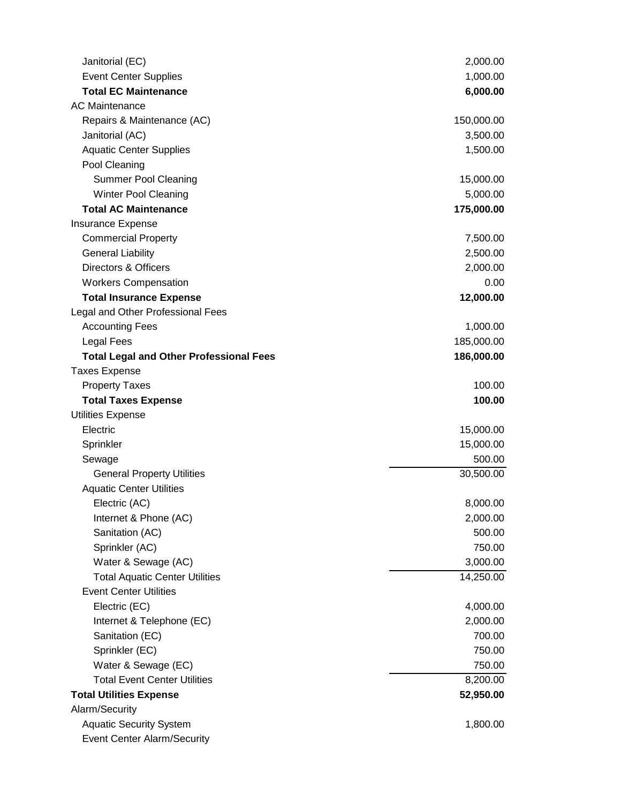| Janitorial (EC)                                | 2,000.00   |
|------------------------------------------------|------------|
| <b>Event Center Supplies</b>                   | 1,000.00   |
| <b>Total EC Maintenance</b>                    | 6,000.00   |
| <b>AC Maintenance</b>                          |            |
| Repairs & Maintenance (AC)                     | 150,000.00 |
| Janitorial (AC)                                | 3,500.00   |
| <b>Aquatic Center Supplies</b>                 | 1,500.00   |
| Pool Cleaning                                  |            |
| <b>Summer Pool Cleaning</b>                    | 15,000.00  |
| <b>Winter Pool Cleaning</b>                    | 5,000.00   |
| <b>Total AC Maintenance</b>                    | 175,000.00 |
| <b>Insurance Expense</b>                       |            |
| <b>Commercial Property</b>                     | 7,500.00   |
| <b>General Liability</b>                       | 2,500.00   |
| <b>Directors &amp; Officers</b>                | 2,000.00   |
| <b>Workers Compensation</b>                    | 0.00       |
| <b>Total Insurance Expense</b>                 | 12,000.00  |
| Legal and Other Professional Fees              |            |
| <b>Accounting Fees</b>                         | 1,000.00   |
| <b>Legal Fees</b>                              | 185,000.00 |
| <b>Total Legal and Other Professional Fees</b> | 186,000.00 |
| <b>Taxes Expense</b>                           |            |
| <b>Property Taxes</b>                          | 100.00     |
| <b>Total Taxes Expense</b>                     | 100.00     |
| <b>Utilities Expense</b>                       |            |
| Electric                                       | 15,000.00  |
| Sprinkler                                      | 15,000.00  |
| Sewage                                         | 500.00     |
| <b>General Property Utilities</b>              | 30,500.00  |
| <b>Aquatic Center Utilities</b>                |            |
| Electric (AC)                                  | 8,000.00   |
| Internet & Phone (AC)                          | 2,000.00   |
| Sanitation (AC)                                | 500.00     |
| Sprinkler (AC)                                 | 750.00     |
| Water & Sewage (AC)                            | 3,000.00   |
| <b>Total Aquatic Center Utilities</b>          | 14,250.00  |
| <b>Event Center Utilities</b>                  |            |
| Electric (EC)                                  | 4,000.00   |
| Internet & Telephone (EC)                      | 2,000.00   |
| Sanitation (EC)                                | 700.00     |
| Sprinkler (EC)                                 | 750.00     |
| Water & Sewage (EC)                            | 750.00     |
| <b>Total Event Center Utilities</b>            | 8,200.00   |
| <b>Total Utilities Expense</b>                 | 52,950.00  |
| Alarm/Security                                 |            |
| <b>Aquatic Security System</b>                 | 1,800.00   |
| <b>Event Center Alarm/Security</b>             |            |